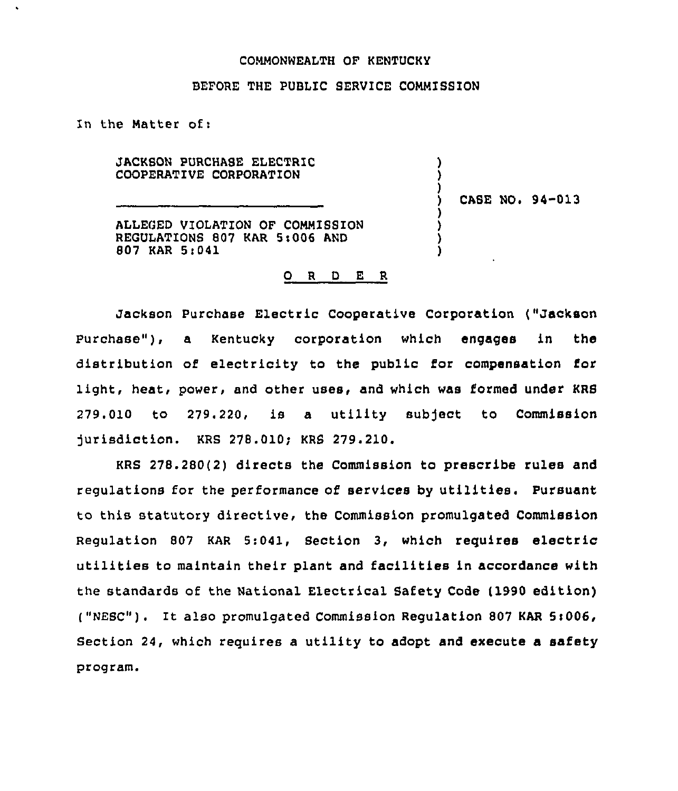#### COMMONWEALTH OF KENTUCKY

#### BEFORE THE PUBLIC SERVICE COMMISSION

In the Natter of:

 $\mathbf{r}$ 

JACKSON PURCHASE ELECTRIC COOPERATIVE CORPORATION

CASE NO. 94-013

) ) )

) ) ) )

ALLEGED VIOLATION OF COMMISSION REGULATIONS 807 KAR 54006 AND 807 KAR 5:041

#### O R D E R

Jackson Purchase Electric Cooperative Corporation ("Jackson Purchase"), a Kentucky corporation which engages in the distribution of electricity to the public for compensation for light, heat, power, and other uses, and which was formed under KRS ?79.010 to 279.220, is a utility subject to Commission jurisdiction. KRS 278.010; KRS 279.210.

KRS 278.280(2) directs the Commission to prescribe rules and regulations for the performance of services by utilities. Pursuant to this statutory directive, the Commission promulgated Commission Regulation 807 KAR 5:041, Section 3, which requires electric utilities to maintain their plant and facilities in accordance with the standards of the National Electrical Safety Code (1990 edition) ( "NESC") . It also promulgated Commission Regulation <sup>807</sup> KAR 5<006, Section 24, which requires a utility to adopt and execute a safety program.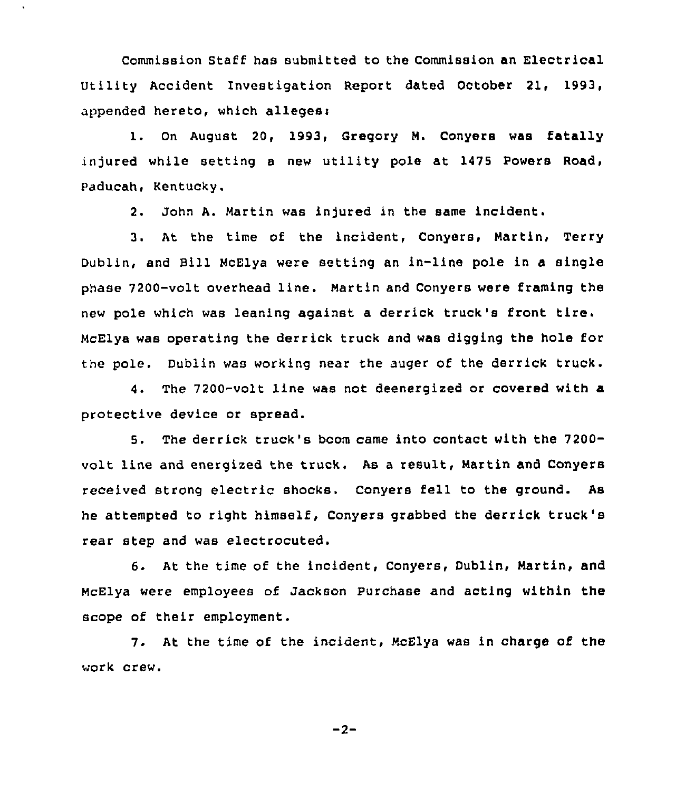Commission Staff has submitted to the Commission an Electrical Utility Accident Investigation Report dated October 21, 1993, appended hereto, which alleges<

1. On August 20, 1993, Gregory M. Conyers was fatally injured while setting a new utility pole at 1475 Powers Road, Paducah, Kentucky.

2. John A. Martin was injured in the same incident.

3. At the time of the incident, Conyers, Martin, Terry Dublin, and Bill McElya were setting an in-line pole in a single phase 7200-volt overhead line. Martin and Conyers were framing the new pole which was leaning against <sup>a</sup> derrick truck's front tire. McElya was operating the derrick truck and was digging the hole for the pole. Dublin was working near the auger of the derrick truck.

4. The 7200-volt line was not deenergized or covered with a protective device or spread.

5. The derrick truck's boom came into contact with the 7200 volt line and energized the truck. As a result, Martin and Conyers received strong electric shocks. Conyers fell to the ground. As he attempted to right himself, Conyers grabbed the derrick truck'8 rear step and was electrocuted.

6. At the time of the incident, Conyers, Dublin, Martin, and McElya were employees of Jackson Purchase and acting within the scope of their employment.

7. At the time of the incident, McElya was in charge of the work crew.

 $-2-$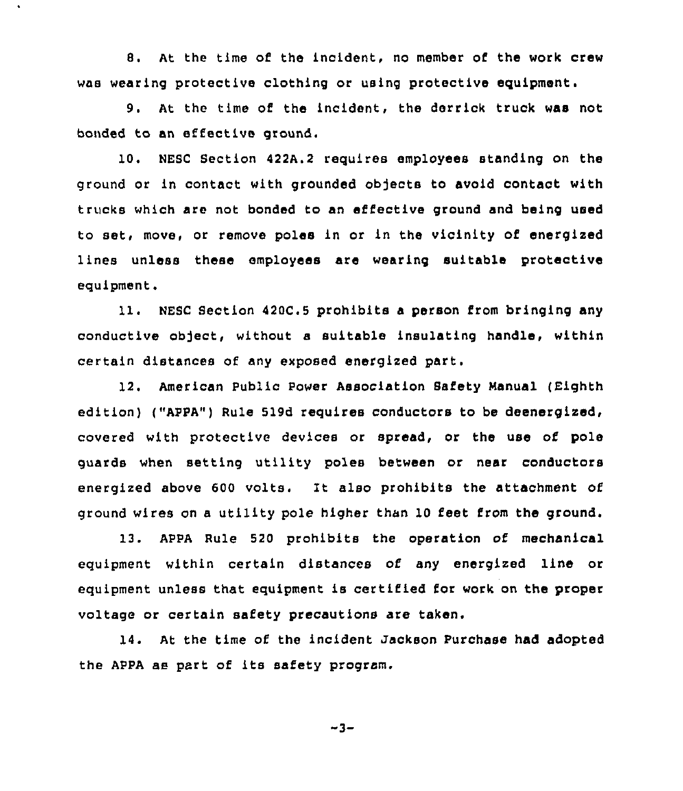8. At the time of the incident, no member of the work crew was wearing protective clothing or using protective equipment.

9. At the time of the incident, the derrick truck was not bonded to an effective ground.

10. NESC Section 422A.2 requires employees standing on the ground or in contact with grounded objects to avoid contact with trucks which are not bonded to an effective ground and being used to set, move, or remove poles in or in the vicinity of energized lines unless these employees are wearing suitable protective equipment,

11. NESC Section 420C.5 prohibits <sup>a</sup> person from bringing any conductive object, without a suitable insulating handle, within certain distances of any exposed energized part.

12. American Public Power Association Safety Manual (Eighth edition) ("APPA") Rule 519d requires conductors to be deenergized, covered with protective devices or spread, or the use of pole guards when setting utility poles between or near conductors energized above 600 volts. It also prohibits the attachment of ground wires on a utility pole higher than 10 feet from the ground.

13. APPA Rule 520 prohibits the operation of mechanical equipment within certain distances of any energized line or equipment unless that equipment is certified for work on the proper voltage or certain safety precautions are taken.

14. At the time of the incident Jackson Purchase had adopted the APPA as part of its safety program.

$$
-3-
$$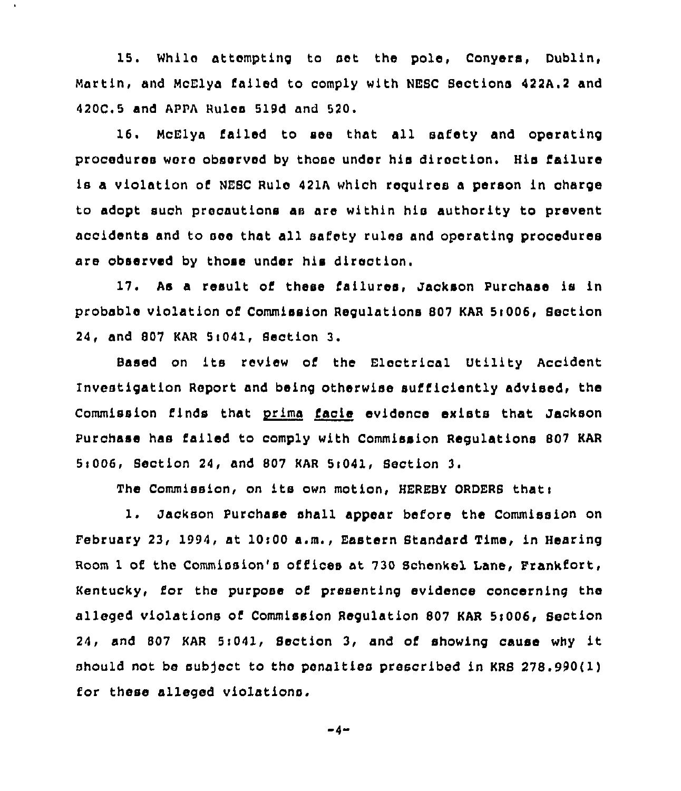15. While attempting to set the pole, Conyers, Dublin, Martin, and McElya failed to comply with NE8C 8ections 422A.2 and 420C.5 and APPA Rules 519d and 520.

 $\ddot{\phantom{0}}$ 

16. McElya failed to see that all safety and operating proceduree wore observed by those under his direction, His failure is a violation of NESC Rule 421A which requires a person in charge to adopt such precautions as are within his authority to prevent accidents and to see that all safety rules and operating procedures are observed by those under his direction.

17. As a result of these failures, Jackson Purchase is in probable violation of Commission Regulations 807 KAR 5:006, Section 24, and 807 KAR 5i041, Section 3.

Based on its review of the Electrical Utility Accident Investigation Report and being otherwise sufficiently advised, the Commission finds that prima facie evidence exists that Jackson Purchase has failed to comply with Commission Regulations 807 KAR 5i006, Section 24, and 807 KAR 5i041, 8ection 3.

The Commission, on its own motion, HEREBY ORDERS that:

1. Jackson Purchase shall appear before the Commission on pebruary 23, 1994, at 10i00 a.m., Eastern Standard Time, in Hearing Room <sup>1</sup> of the Commission's offices at 730 Schenkel Lane, Frankfort, Kentucky, for the purpose of presenting evidence concerning the alleged violations of Commission Regulation 807 KAR 5:006, Section 24, and <sup>807</sup> KAR 5i041, Section 3, and of showing cause why it should not be subject to the penalties prescribed in KRS 278.990(1) for these alleged violations.

-4-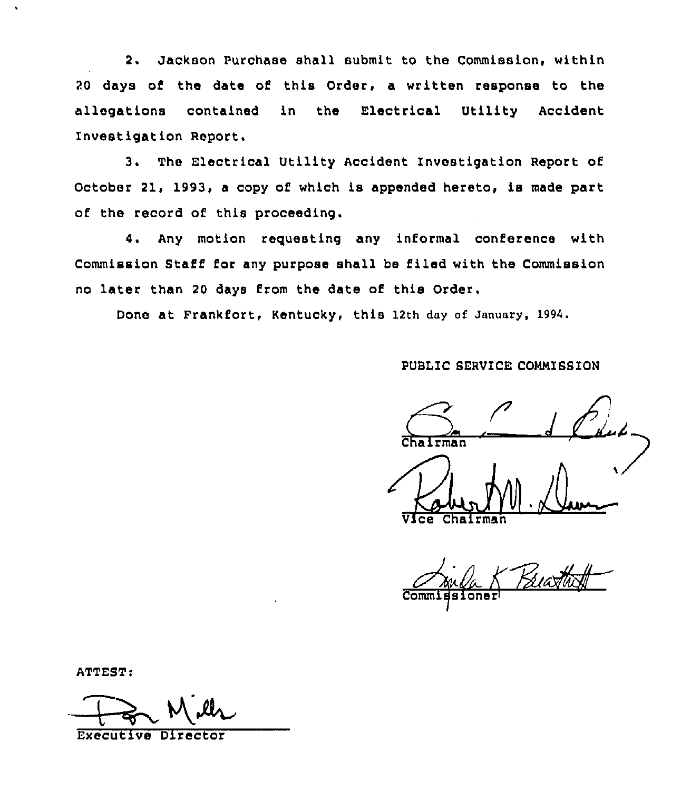2. Jackson Purchase shall submit to the Commission, within 20 days of the date of this Order, a written response to the allegations contained in the Electrical Utility Accident Investigation Report.

3. The Electrical Utility Accident Investigation Report of October 21, 1993, a copy of which is appended hereto, is made part of the record of this proceeding,

4. Any motion reguesting any informal conference with Commission Staff for any purpose shall be filed with the Commission no later than 20 days from the date of this Order.

Done at Frankfort, Kentucky, this 12th day of January, 1994.

PUBLIC SERVICE COMMISSION

nairman

Vice Chairma

commidsioner

ATTEST:<br>
Executive Director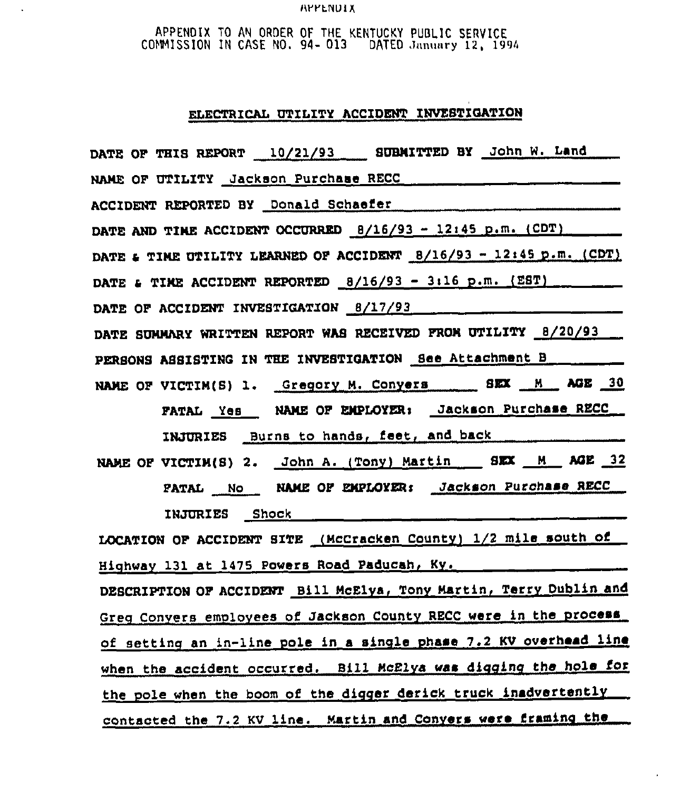### **RYYENUIX**

 $\ddot{\phantom{a}}$ 

APPENDIX TO AN ORDER OF THE KENTUCKY PUBLIC SERVICE CONMISSION IN CASE NO. 94- 013 DATED Jnnunry 12, 1994

# ELECTRICAL UTILITY ACCIDENT INVESTIGATION

| DATE OF THIS REPORT 10/21/93 SUBMITTED BY John W. Land                                                                                                                                                                               |
|--------------------------------------------------------------------------------------------------------------------------------------------------------------------------------------------------------------------------------------|
|                                                                                                                                                                                                                                      |
| ACCIDENT REPORTED BY Donald Schaefer                                                                                                                                                                                                 |
| DATE AND TIME ACCIDENT OCCURRED $\frac{8}{16}{93} - \frac{12}{145}$ p.m. (CDT)                                                                                                                                                       |
| DATE & TIME UTILITY LEARNED OF ACCIDENT $B/16/93 - 12:45$ p.m. (CDT)                                                                                                                                                                 |
| DATE & TIME ACCIDENT REPORTED $8/16/93 - 3:16$ p.m. (E8T)                                                                                                                                                                            |
| DATE OF ACCIDENT INVESTIGATION 8/17/93                                                                                                                                                                                               |
| DATE SUMMARY WRITTEN REPORT WAS RECEIVED FROM UTILITY 8/20/93                                                                                                                                                                        |
| PERSONS ASSISTING IN THE INVESTIGATION See Attachment B________                                                                                                                                                                      |
| NAME OF VICTIM(S) 1. Gregory M. Conyers BEX M MGE 30                                                                                                                                                                                 |
| FATAL Yes NAME OF EMPLOYER: Jackson Purchase RECC                                                                                                                                                                                    |
| INJURIES Burns to hands, feet, and back <b>compared to the set of the set of the set of the set of the set of the set of the set of the set of the set of the set of the set of the set of the set of the set of the set of the </b> |
| NAME OF VICTIM(S) 2. John A. (Tony) Martin SEX M AGE 32                                                                                                                                                                              |
| PATAL No NAME OF EMPLOYER: Jackson Purchase RECC                                                                                                                                                                                     |
| INJURIES Shock ______________                                                                                                                                                                                                        |
| LOCATION OF ACCIDENT SITE (McCracken County) 1/2 mile south of                                                                                                                                                                       |
| Highway 131 at 1475 Powers Road Paducah, Ky.                                                                                                                                                                                         |
| DESCRIPTION OF ACCIDENT Bill McElya, Tony Martin, Terry Dublin and                                                                                                                                                                   |
| Greg Conyers employees of Jackson County RECC were in the process                                                                                                                                                                    |
| of setting an in-line pole in a single phase 7.2 KV overhead line                                                                                                                                                                    |
| when the accident occurred. Bill McElya was digging the hole for                                                                                                                                                                     |
| the pole when the boom of the digger derick truck inadvertently                                                                                                                                                                      |
| contacted the 7.2 KV line. Martin and Conyers were framing the                                                                                                                                                                       |

 $\overline{a}$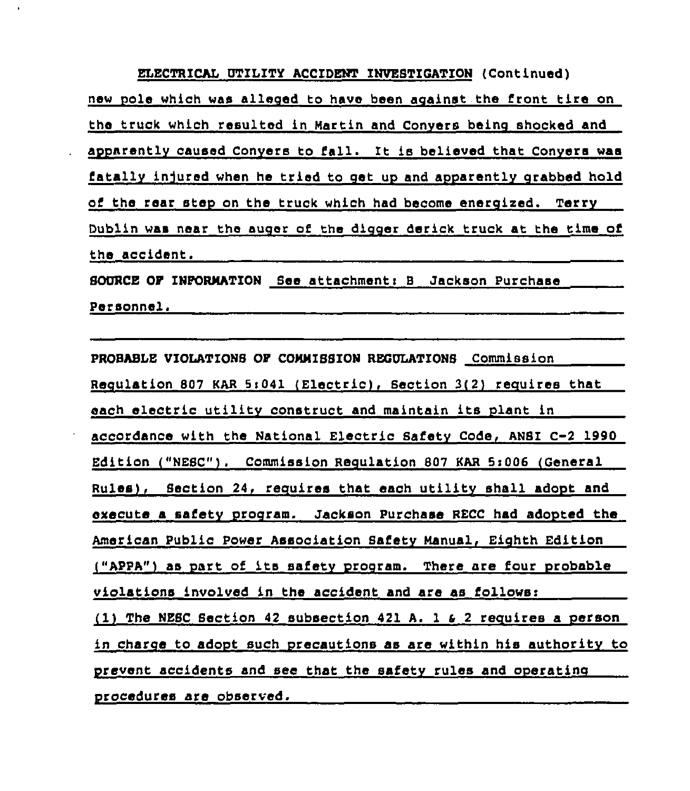ELECTRICAL UTILITY ACCIDENT INVESTIGATION (Continued) new pole which was alleged to have been against the front tire on the truck which resulted in Martin and Conyers being shocked and apparently caused Convere to fall. It is believed that Conyera was fatally injured when he tried to get up and apparently grabbed hold of the rear step on the truck which had become energized. Terry Dublin was near the auger of the digger derick truck at the time of the accident. SOURCE OP INPORMATION See attachments 8 Jackson Purchase

Personnel.

PROBABLE VIOLATIONS OP COMMISSION REGULATIONS Commission Requlation 807 KAR 5:041 (Electric), Section 3(2) requires that each electric utility construct and maintain its plant in accordance with the National Electric Safetv Code, ANSI C-2 1990 Edition ("NESC"). Commission Reculation 807 KAR Si006 (General Rules), Section 24, requires that each utility shall adopt and execute a safety program. Jackson Purchase RECC had adopted the American Public Power Association Safety Manual, Eichth Edition ("APPA") as part of its safetv prooram. There are four probable violations involved in the accident and are as follows: (1) The NESC Section 42 subsection 421 A. 1  $6$  2 requires a person in charge to adopt such precautions as are within his authority to prevent accidents and see that the safety rules and operating procedures are observed.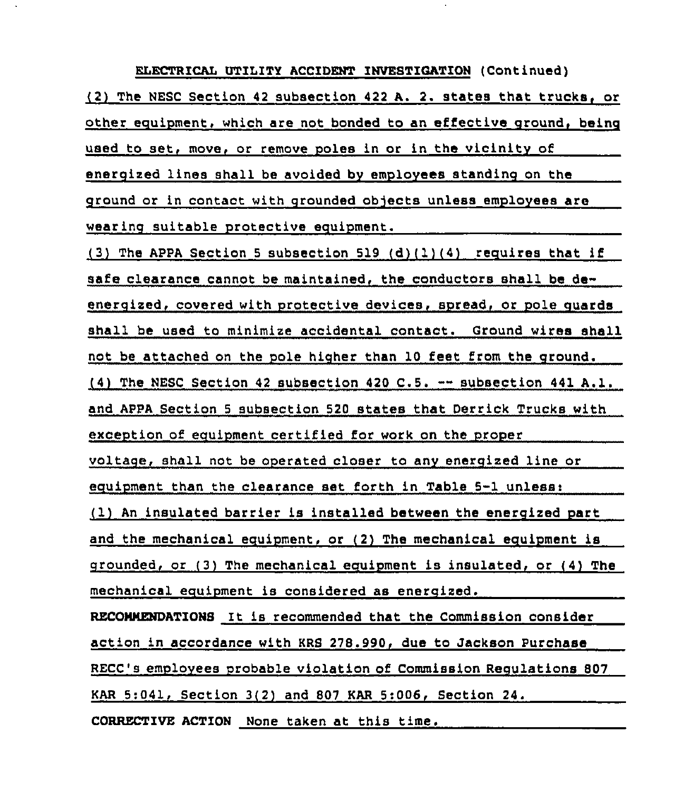ELECTRICAL UTILITY ACCIDENT INVESTIGATION (Continued) (2) The MESC Section <sup>42</sup> subsection <sup>422</sup> A. 2. states that trucks or other ecuipment, which are not bonded to an effective around. beinq used to set, move, or remove poles in or in the vicinity of energized lines shall be avoided by employees standing on the ground or in contact with grounded objects unless employees are wearinq suitable protective ecuipment.

(3) The APPA Section 5 subsection 519 (d)(1)(4) requires that if safe clearance cannot be maintained, the conductors shall be deenergized, covered with protective devices, spread, or pole quards shall be used to minimize accidental contact. Ground wires shall not be attached on the pole higher than 10 feet from the ground.  $(4)$  The NESC Section 42 subsection 420 C.5.  $-$  subsection 441 A.1. and APPA Section <sup>5</sup> subsection 520 states that Derrick Trucks with exception of ecuipment certified for work on the proper voltage, shall not be operated closer to any energized line or equipment than the clearance set forth in Table 5-1 unless: (1) An insulated barrier is installed between the energized part and the mechanical equipment, or (2) The mechanical equipment is crounded, or (3) The mechanical eauipment is insulated, or (4) The mechanical eguipment is considered as enercized. RECOMMENDATIONS It is recommended that the Commission consider action in accordance with KRS 278.990, due to Jackson Purchase RECC's employees probable violation of Commission Regulations 807 KAR 5:041, Section 3(2) and 807 KAR 5:006, Section 24.

CORRECTIVE ACTION None taken at this time.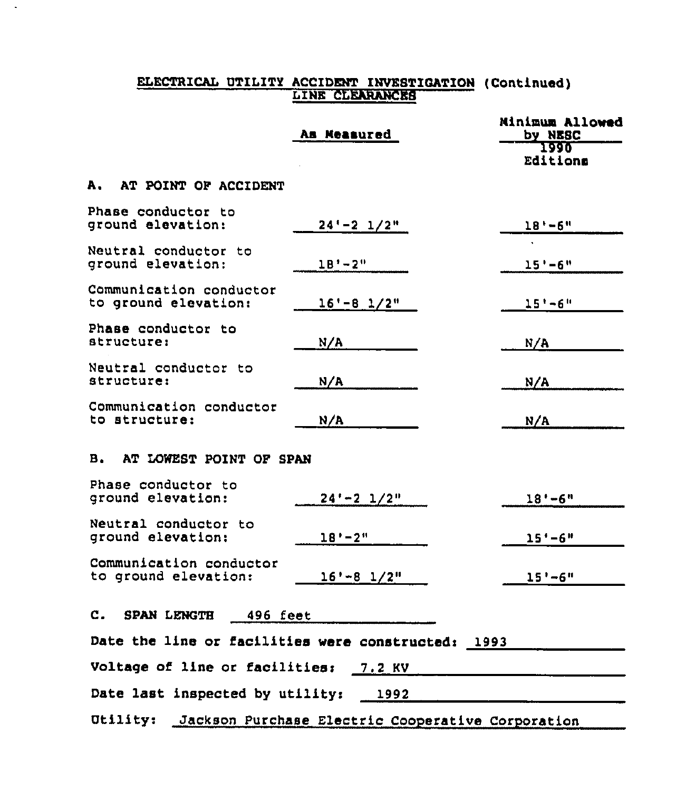### ELECTRICAL UTILITY ACCIDENT INVESTIGATION (Continued LINE CLEARANCES

 $\sim$ 

|                                                    | As Measured                                       | <b>Minimum Allowed</b><br>by NESC |
|----------------------------------------------------|---------------------------------------------------|-----------------------------------|
|                                                    |                                                   | 1990<br>Editions                  |
| A. AT POINT OF ACCIDENT                            |                                                   |                                   |
| Phase conductor to<br>ground elevation:            | $24 - 2$ $1/2$ "                                  | $18' - 6''$                       |
| Neutral conductor to<br>ground elevation:          | $18' - 2''$                                       | $15' - 6''$                       |
| Communication conductor<br>to ground elevation:    | $16' - 8$ $1/2"$                                  | $15' - 6''$                       |
| Phase conductor to<br>structure:                   | N/A                                               | N/A                               |
| Neutral conductor to<br>structure:                 | N/A                                               | N/A                               |
| Communication conductor<br>to structure:           | N/A                                               | N/A                               |
| AT LOWEST POINT OF SPAN<br>в.                      |                                                   |                                   |
| Phase conductor to<br>ground elevation:            | $24 - 2$ $1/2$ "                                  | $18 - 6$ "                        |
| Neutral conductor to<br>ground elevation:          | $18' - 2''$                                       | $15' - 6''$                       |
| Communication conductor<br>to ground elevation:    | $16' - 8$ $1/2''$                                 | $15' - 6''$                       |
| $\mathbf{c}$ .<br><b>SPAN LENGTH</b><br>496 feet   |                                                   |                                   |
| Date the line or facilities were constructed: 1993 |                                                   |                                   |
| Voltage of line or facilities: 7.2 KV              |                                                   |                                   |
| Date last inspected by utility:                    | 1992                                              |                                   |
| <b>Otility:</b>                                    | Jackson Purchase Electric Cooperative Corporation |                                   |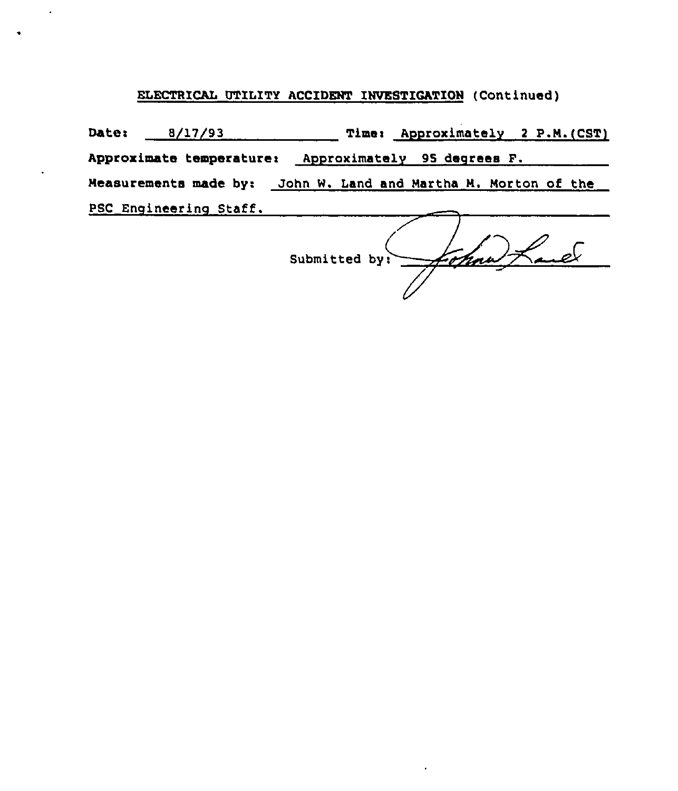## ELECTRICAL UTILITY ACCIDENT INVESTICATION (Continued)

 $\ddot{\phantom{a}}$ 

Date: 8/17/93 Time: Approximately 2 P.M.(CST) Approximate temperature: Approximately 95 degrees F. Measurements made by: John W. Land and Martha N. Norton of the PSC Engineering Staff.

John Land Submitted by: